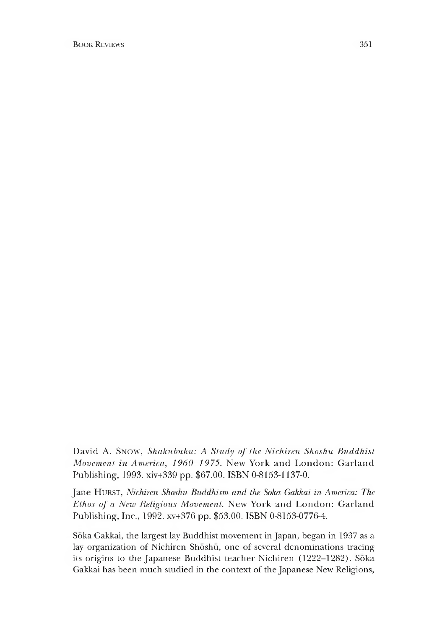David A. Snow, Shakubuku: A Study of the Nichiren Shoshu Buddhist *Movement in America, 1960-1975.* New York and London: Garland Publishing, 1993. xiv+339 pp. \$67.00. ISBN 0-8153-1137-0.

Jane HURST, *Nichiren Shoshu Buddhism and the Soka Gakkai in America: The Ethos of a New Religious Movement.* New York and London: Garland Publishing, Inc., 1992. xv+376 pp. \$53.00. ISBN 0-8153-0776-4.

Soka Gakkai, the largest lay Buddhist movement in Japan, began in 1937 as a lay organization of Nichiren Shoshu, one of several denominations tracing its origins to the Japanese Buddhist teacher Nichiren (1222-1282). Soka Gakkai has been much studied in the context of the Japanese New Religions,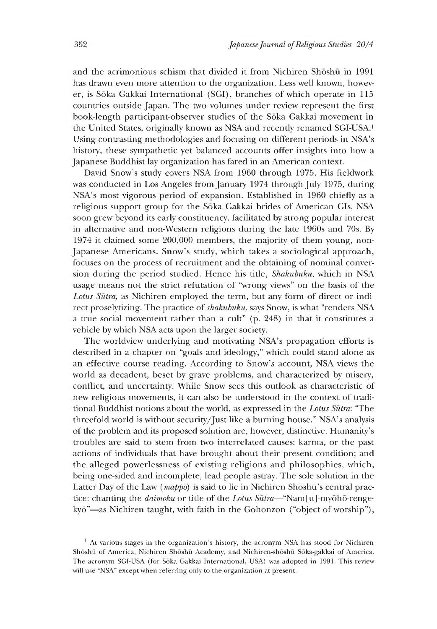and the acrimonious schism that divided it from Nichiren Shoshu in 1991 has drawn even more attention to the organization. Less well known, however, is Soka Gakkai International (SGI), branches of which operate in 115 countries outside Japan. The two volumes under review represent the first book-length participant-observer studies of the Soka Gakkai movement in the United States, originally known as NSA and recently renamed SGI-USA.1 Using contrasting methodologies and focusing on different periods in NSA's history, these sympathetic yet balanced accounts offer insights into how a Japanese Buddhist lay organization has fared in an American context.

David Snow's study covers NSA from 1960 through 1975. His fieldwork was conducted in Los Angeles from January 1974 through July 1975, during NSA's most vigorous period of expansion. Established in 1960 chiefly as a religious support group for the Soka Gakkai brides of American GIs, NSA soon grew beyond its early constituency, facilitated by strong popular interest in alternative and non-Western religions during the late 1960s and 70s. By 1974 it claimed some 200,000 members, the majority of them young, non-Japanese Americans. Snow's study, which takes a sociological approach, focuses on the process of recruitment and the obtaining of nominal conversion during the period studied. Hence his title, *Shakubuku,* which in NSA usage means not the strict refutation of "wrong views" on the basis of the *Lotus Sutra,* as Nichiren employed the term, but any form of direct or indirect proselytizing. The practice of *shakubuku,* says Snow, is what "renders NSA a true social movement rather than a cult"  $(p. 248)$  in that it constitutes a vehicle by which NSA acts upon the larger society.

The worldview underlying and motivating NSA's propagation efforts is described in a chapter on "goals and ideology," which could stand alone as an effective course reading. According to Snow's account, NSA views the world as decadent, beset by grave problems, and characterized by misery, conflict, and uncertainty. While Snow sees this outlook as characteristic of new religious movements, it can also be understood in the context of traditional Buddhist notions about the world, as expressed in the *Lotus Sutra:* "The threefold world is without security/Just like a burning house." NSA's analysis of the problem and its proposed solution are, however, distinctive. Humanity's troubles are said to stem from two interrelated causes: karma, or the past actions of individuals that have brought about their present condition; and the alleged powerlessness of existing religions and philosophies, which, being one-sided and incomplete, lead people astray. The sole solution in the Latter Day of the Law *(mappo*) is said to lie in Nichiren Shoshu<sup>'</sup>s central practice: chanting the *daimoku* or title of the *Lotus Sūtra*—"Nam[u]-myōhō-rengekyō"—as Nichiren taught, with faith in the Gohonzon ("object of worship"),

<sup>&</sup>lt;sup>1</sup> At various stages in the organization's history, the acronym NSA has stood for Nichiren Shoshu of America, Nichiren Shoshu Academy, and Nichiren-shoshu Soka-gakkai of America. The acronym SGI-USA (for Soka Gakkai International, USA) was adopted in 1991. This review will use "NSA" except when referring only to the organization at present.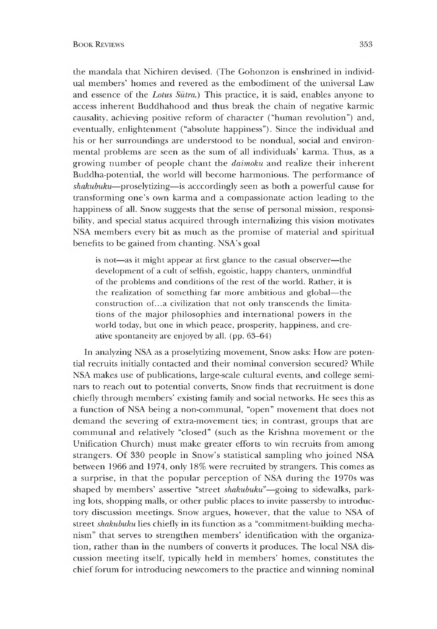the mandala that Nichiren devised. (The Gohonzon is enshrined in individual members' homes and revered as the embodiment of the universal Law and essence of the *Lotus Sutra.)* This practice, it is said, enables anyone to access inherent Buddhahood and thus break the chain of negative karmic causality, achieving positive reform of character ("human revolution") and, eventually, enlightenment ("absolute happiness"). Since the individual and his or her surroundings are understood to be nondual, social and environmental problems are seen as the sum of all individuals' karma. Thus, as a growing number of people chant the *daimoku* and realize their inherent Buddha-potential, the world will become harmonious. The performance of *shakubuku*~proselytizing—is acccordingly seen as both a powerful cause for transforming one's own karma and a compassionate action leading to the happiness of all. Snow suggests that the sense of personal mission, responsibility, and special status acquired through internalizing this vision motivates NSA members every bit as much as the promise of material and spiritual benefits to be gained from chanting. NSA's goal

is not—as it might appear at first glance to the casual observer—the development of a cult of selfish, egoistic, happy chanters, unmindful of the problems and conditions of the rest of the world. Rather, it is the realization of something far more ambitious and global—the construction of...a civilization that not only transcends the limitations of the major philosophies and international powers in the world today, but one in which peace, prosperity, happiness, and creative spontaneity are enjoyed by all. (pp. 63-64)

In analyzing NSA as a proselytizing movement, Snow asks: How are potential recruits initially contacted and their nominal conversion secured? While NSA makes use of publications, large-scale cultural events, and college seminars to reach out to potential converts, Snow finds that recruitment is done chiefly through members' existing family and social networks. He sees this as a function of NSA being a non-communal, "open" movement that does not demand the severing of extra-movement ties; in contrast, groups that are communal and relatively "closed" (such as the Krishna movement or the Unification Church) must make greater efforts to win recruits from among strangers. Of 330 people in Snow's statistical sampling who joined NSA between 1966 and 1974, only 18% were recruited by strangers. This comes as a surprise, in that the popular perception of NSA during the 1970s was shaped by members' assertive "street *shakubuku*"—going to sidewalks, parking lots, shopping malls, or other public places to invite passersby to introductory discussion meetings. Snow argues, however, that the value to NSA of street *shakubuku* lies chiefly in its function as a "commitment-building mechanism" that serves to strengthen members' identification with the organization, rather than in the numbers of converts it produces. The local NSA discussion meeting itself, typically held in members' homes, constitutes the chief forum for introducing newcomers to the practice and winning nominal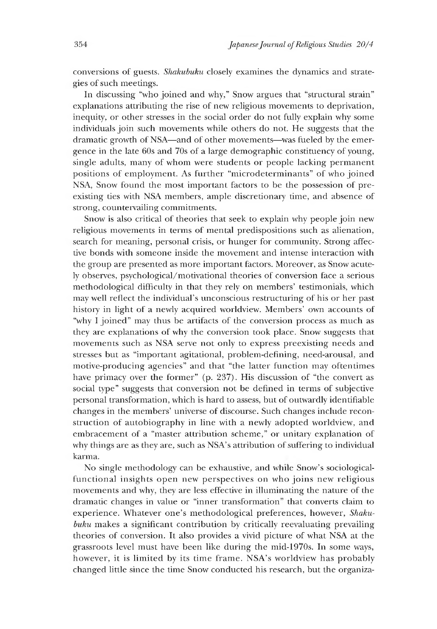conversions of guests. *Shakubuku* closely examines the dynamics and strategies of such meetings.

In discussing "who joined and why," Snow argues that "structural strain" explanations attributing the rise of new religious movements to deprivation, inequity, or other stresses in the social order do not fully explain why some individuals join such movements while others do not. He suggests that the dramatic growth of NSA—and of other movements—was fueled by the emergence in the late 60s and 70s of a large demographic constituency of young, single adults, many of whom were students or people lacking permanent positions of employment. As further "microdeterminants" of who joined NSA, Snow found the most important factors to be the possession of preexisting ties with NSA members, ample discretionary time, and absence of strong, countervailing commitments.

Snow is also critical of theories that seek to explain why people join new religious movements in terms of mental predispositions such as alienation, search for meaning, personal crisis, or hunger for community. Strong affective bonds with someone inside the movement and intense interaction with the group are presented as more important factors. Moreover, as Snow acutely observes, psychological/motivational theories of conversion face a serious methodological difficulty in that they rely on members' testimonials, which may well reflect the individual's unconscious restructuring of his or her past history in light of a newly acquired worldview. Members' own accounts of "why I joined" may thus be artifacts of the conversion process as much as they are explanations of why the conversion took place. Snow suggests that movements such as NSA serve not only to express preexisting needs and stresses but as "important agitational, problem-defining, need-arousal, and motive-producing agencies" and that "the latter function may oftentimes have primacy over the former"  $(p. 237)$ . His discussion of "the convert as social type" suggests that conversion not be defined in terms of subjective personal transformation, which is hard to assess, but of outwardly identifiable changes in the members' universe of discourse. Such changes include reconstruction of autobiography in line with a newly adopted worldview, and embracement of a "master attribution scheme," or unitary explanation of why things are as they are, such as NSA's attribution of suffering to individual karma.

No single methodology can be exhaustive, and while Snow's sociologicalfunctional insights open new perspectives on who joins new religious movements and why, they are less effective in illuminating the nature of the dramatic changes in value or "inner transformation" that converts claim to experience. Whatever one's methodological preferences, however, *Shakubuku* makes a significant contribution by critically reevaluating prevailing theories of conversion. It also provides a vivid picture of what NSA at the grassroots level must have been like during the mid-1970s. In some ways, however, it is limited by its time frame. NSA's worldview has probably changed little since the time Snow conducted his research, but the organiza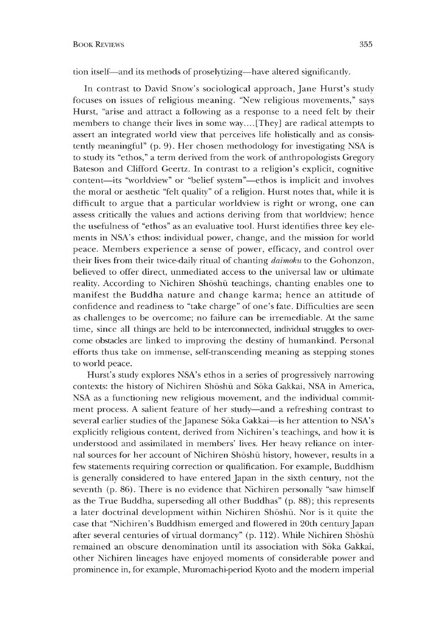tion itself—and its methods of proselytizing—have altered significantly.

In contrast to David Snow's sociological approach, Jane Hurst's study focuses on issues of religious meaning. "New religious movements," says Hurst, "arise and attract a following as a response to a need felt by their members to change their lives in some way.... [They] are radical attempts to assert an integrated world view that perceives life holistically and as consistently meaningful" (p. 9). Her chosen methodology for investigating NSA is to study its "ethos," a term derived from the work of anthropologists Gregory Bateson and Clifford Geertz. In contrast to a religion's explicit, cognitive content—its "worldview" or "belief system"—ethos is implicit and involves the moral or aesthetic "felt quality" of a religion. Hurst notes that, while it is difficult to argue that a particular worldview is right or wrong, one can assess critically the values and actions deriving from that worldview; hence the usefulness of "ethos" as an evaluative tool. Hurst identifies three key elements in NSA's ethos: individual power, change, and the mission for world peace. Members experience a sense of power, efficacy, and control over their lives from their twice-daily ritual of chanting *daimoku* to the Gohonzon, believed to offer direct, unmediated access to the universal law or ultimate reality. According to Nichiren Shōshū teachings, chanting enables one to manifest the Buddha nature and change karma; hence an attitude of confidence and readiness to "take charge" of one's fate. Difficulties are seen as challenges to be overcome; no failure can be irremediable. At the same time, since all things are held to be interconnected, individual struggles to overcome obstacles are linked to improving the destiny of humankind. Personal efforts thus take on immense, self-transcending meaning as stepping stones to world peace.

Hurst's study explores NSA's ethos in a series of progressively narrowing contexts: the history of Nichiren Shōshū and Sōka Gakkai, NSA in America, NSA as a functioning new religious movement, and the individual commitment process. A salient feature of her study—and a refreshing contrast to several earlier studies of the Japanese Soka Gakkai—is her attention to NSA's explicitly religious content, derived from Nichiren's teachings, and how it is understood and assimilated in members' lives. Her heavy reliance on internal sources for her account of Nichiren Shoshu history, however, results in a few statements requiring correction or qualification. For example, Buddhism is generally considered to have entered Japan in the sixth century, not the seventh (p. 86). There is no evidence that Nichiren personally "saw himself as the True Buddha, superseding all other Buddhas" (p. 88); this represents a later doctrinal development within Nichiren Shoshu. Nor is it quite the case that "Nichiren's Buddhism emerged and flowered in 20th century Japan after several centuries of virtual dormancy" (p. 112). While Nichiren Shōshū remained an obscure denomination until its association with Soka Gakkai, other Nichiren lineages have enjoyed moments of considerable power and prominence in, for example, Muromachi-period Kyoto and the modem imperial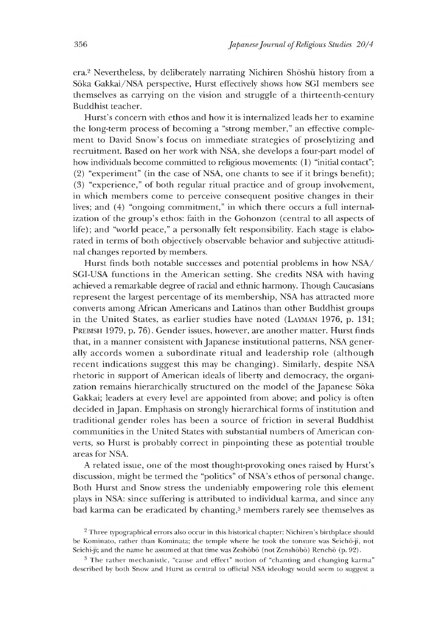era.<sup>2</sup> Nevertheless, by deliberately narrating Nichiren Shōshū history from a Soka Gakkai/NSA perspective, Hurst effectively shows how SGI members see themselves as carrying on the vision and struggle of a thirteenth-century Buddhist teacher.

Hurst's concern with ethos and how it is internalized leads her to examine the long-term process of becoming a "strong member," an effective complement to David Snow's focus on immediate strategies of proselytizing and recruitment. Based on her work with NSA, she develops a four-part model of how individuals become committed to religious movements: (1) "initial contact";  $(2)$  "experiment" (in the case of NSA, one chants to see if it brings benefit); (3) "experience," of both regular ritual practice and of group involvement, in which members come to perceive consequent positive changes in their lives; and (4) "ongoing commitment," in which there occurs a full internalization of the group's ethos: faith in the Gohonzon (central to all aspects of life); and "world peace," a personally felt responsibility. Each stage is elaborated in terms of both objectively observable behavior and subjective attitudinal changes reported by members.

Hurst finds both notable successes and potential problems in how NSA/ SGI-USA functions in the American setting. She credits NSA with having achieved a remarkable degree of racial and ethnic harmony. Though Caucasians represent the largest percentage of its membership, NSA has attracted more converts among African Americans and Latinos than other Buddhist groups in the United States, as earlier studies have noted (LAYMAN 1976, p. 131; **Prebish 1979, p. 76). Gender issues, however, are another matter. Hurst finds** that, in a manner consistent with Japanese institutional patterns, NSA generally accords women a subordinate ritual and leadership role (although recent indications suggest this may be changing). Similarly, despite NSA rhetoric in support of American ideals of liberty and democracy, the organization remains hierarchically structured on the model of the Japanese Sōka Gakkai; leaders at every level are appointed from above; and policy is often decided in Japan. Emphasis on strongly hierarchical forms ot institution and traditional gender roles has been a source of friction in several Buddhist communities in the United States with substantial numbers of American converts, so Hurst is probably correct in pinpointing these as potential trouble areas for NSA.

A related issue, one of the most thought-provoking ones raised by Hurst's discussion, might be termed the "politics" of NSA's ethos of personal change. Both Hurst and Snow stress the undeniably empowering role this element plays in NSA: since suffering is attributed to individual karma, and since any bad karma can be eradicated by chanting,<sup>3</sup> members rarely see themselves as

<sup>&</sup>lt;sup>2</sup> Three typographical errors also occur in this historical chapter: Nichiren's birthplace should be Kominato, rather than Kominata; the temple where he took the tonsure was Seicho-ji, not Seichi-ji; and the name he assumed at that time was Zeshobo (not Zenshobo) Rencho (p. 92).

<sup>3</sup> The rather mechanistic, "cause and effect" notion of "chanting and changing karma" described by both Snow and Hurst as central to official NSA ideology would seem to suggest a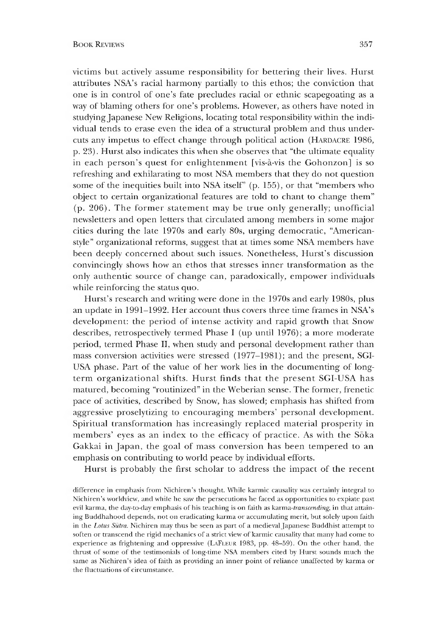victims but actively assume responsibility for bettering their lives. Hurst attributes NSA's racial harmony partially to this ethos; the conviction that one is in control of one's fate precludes racial or ethnic scapegoating as a way of blaming others for one's problems. However, as others have noted in studying Japanese New Religions, locating total responsibility within the individual tends to erase even the idea of a structural problem and thus undercuts any impetus to effect change through political action (HARDACRE 1986, p. 23). Hurst also indicates this when she observes that "the ultimate equality in each person's quest for enlightenment [vis-a-vis the Gohonzon] is so refreshing and exhilarating to most NSA members that they do not question some of the inequities built into NSA itself" (p. 155), or that "members who object to certain organizational features are told to chant to change them" (p. 206). The former statement may be true only generally; unofficial newsletters and open letters that circulated among members in some major cities during the late 1970s and early 80s, urging democratic, "Americanstyle" organizational reforms, suggest that at times some NSA members have been deeply concerned about such issues. Nonetheless, Hurst's discussion convincingly shows how an ethos that stresses inner transformation as the only authentic source of change can, paradoxically, empower individuals while reinforcing the status quo.

Hurst's research and writing were done in the 1970s and early 1980s, plus an update in 1991-1992. Her account thus covers three time frames in NSA's development: the period of intense activity and rapid growth that Snow describes, retrospectively termed Phase I (up until 1976); a more moderate period, termed Phase II, when study and personal development rather than mass conversion activities were stressed (1977-1981); and the present, SGI-USA phase. Part of the value of her work lies in the documenting of longterm organizational shifts. Hurst finds that the present SGI-USA has matured, becoming "routinized" in the Weberian sense. The former, frenetic pace of activities, described by Snow, has slowed; emphasis has shifted from aggressive proselytizing to encouraging members' personal development. Spiritual transformation has increasingly replaced material prosperity in members' eyes as an index to the efficacy of practice. As with the Soka Gakkai in Japan, the goal of mass conversion has been tempered to an emphasis on contributing to world peace by individual efforts.

Hurst is probably the first scholar to address the impact of the recent

difference in emphasis from Nichiren's thought. While karmic causality was certainly integral to Nichiren's worldview, and while he saw the persecutions he faced as opportunities to expiate past evil karma, the day-to-day emphasis of his teaching is on faith as karma-*transcending,* in that attaining Buddhahood depends, not on eradicating karma or accumulating merit, but solely upon faith in the *Lotus Sutra*. Nichiren may thus be seen as part of a medieval Japanese Buddhist attempt to soften or transcend the rigid mechanics of a strict view of karmic causality that many had come to experience as frightening and oppressive (LaFleur 1983 pp. 48-59). On the other hand, the thrust of some of the testimonials of long-time NSA members cited by Hurst sounds much the same as Nichiren's idea of faith as providing an inner point of reliance unaffected by karma or the fluctuations of circumstance.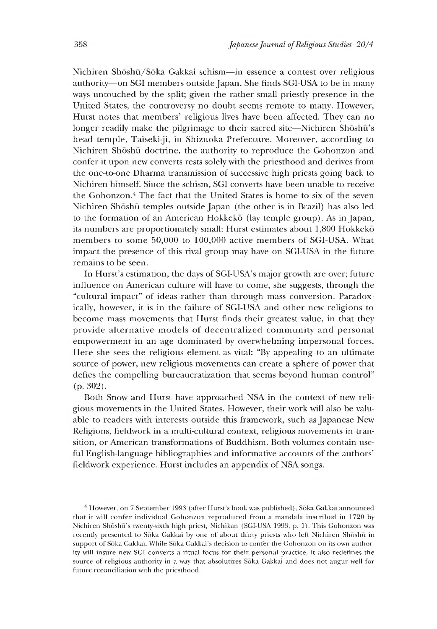Nichiren Shōshū/Sōka Gakkai schism-in essence a contest over religious authority—on SGI members outside Japan. She finds SGI-USA to be in many ways untouched by the split; given the rather small priestly presence in the United States, the controversy no doubt seems remote to many. However, Hurst notes that members' religious lives have been affected. They can no longer readily make the pilgrimage to their sacred site—Nichiren Shoshu's head temple, Taiseki-ji, in Shizuoka Prefecture. Moreover, according to Nichiren Shōshū doctrine, the authority to reproduce the Gohonzon and confer it upon new converts rests solely with the priesthood and derives from the one-to-one Dharma transmission of successive high priests going back to Nichiren himself. Since the schism, SGI converts have been unable to receive the Gohonzon.<sup>4</sup> The fact that the United States is home to six of the seven Nichiren Shoshu temples outside Japan (the other is in Brazil) has also led to the formation of an American Hokkeko (lay temple group). As in Japan, its numbers are proportionately small: Hurst estimates about 1,800 Hokkeko members to some 50,000 to 100,000 active members of SGI-USA. What impact the presence of this rival group may have on SGI-USA in the future remains to be seen.

In Hurst's estimation, the days of SGI-USA's major growth are over; future influence on American culture will have to come, she suggests, through the "cultural impact" of ideas rather than through mass conversion. Paradoxically, however, it is in the failure of SGI-USA and other new religions to become mass movements that Hurst finds their greatest value, in that they provide alternative models of decentralized community and personal empowerment in an age dominated by overwhelming impersonal forces. Here she sees the religious element as vital: "By appealing to an ultimate source of power, new religious movements can create a sphere of power that defies the compelling bureaucratization that seems beyond human control" (p. 302).

Both Snow and Hurst have approached NSA in the context of new religious movements in the United States. However, their work will also be valuable to readers with interests outside this framework, such as Japanese New Religions, fieldwork in a multi-cultural context, religious movements in transition, or American transformations of Buddhism. Both volumes contain useful English-language bibliographies and informative accounts of the authors' fieldwork experience. Hurst includes an appendix of NSA songs.

<sup>4</sup> However, on 7 September 1993 (after Hurst's book was published), Soka Gakkai announced that it will confer individual Gohonzon reproduced from a mandala inscribed in 1720 by Nichiren Shōshū's twenty-sixth high priest, Nichikan (SGI-USA 1993, p. 1). This Gohonzon was recently presented to Sōka Gakkai by one of about thirty priests who left Nichiren Shōshū in support of Sōka Gakkai. While Sōka Gakkai's decision to confer the Gohonzon on its own authority will insure new SGI converts a ritual focus for their personal practice, it also redefines the source of religious authority in a way that absolutizes Soka Gakkai and does not augur well for future reconciliation with the priesthood.